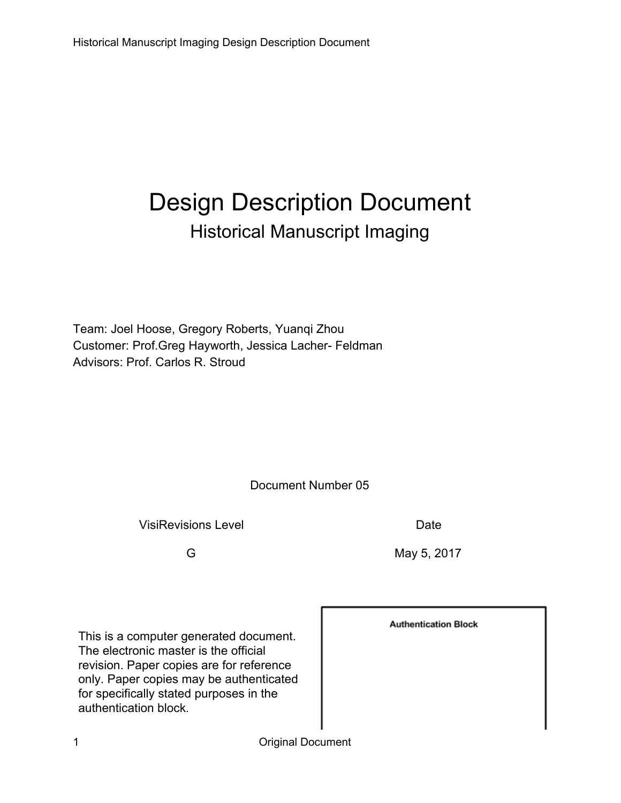# Design Description Document Historical Manuscript Imaging

Team: Joel Hoose, Gregory Roberts, Yuanqi Zhou Customer: Prof.Greg Hayworth, Jessica Lacher- Feldman Advisors: Prof. Carlos R. Stroud

Document Number 05

VisiRevisions Level **Date** 

G May 5, 2017

This is a computer generated document. The electronic master is the official revision. Paper copies are for reference only. Paper copies may be authenticated for specifically stated purposes in the authentication block.

**Authentication Block** 

1 Original Document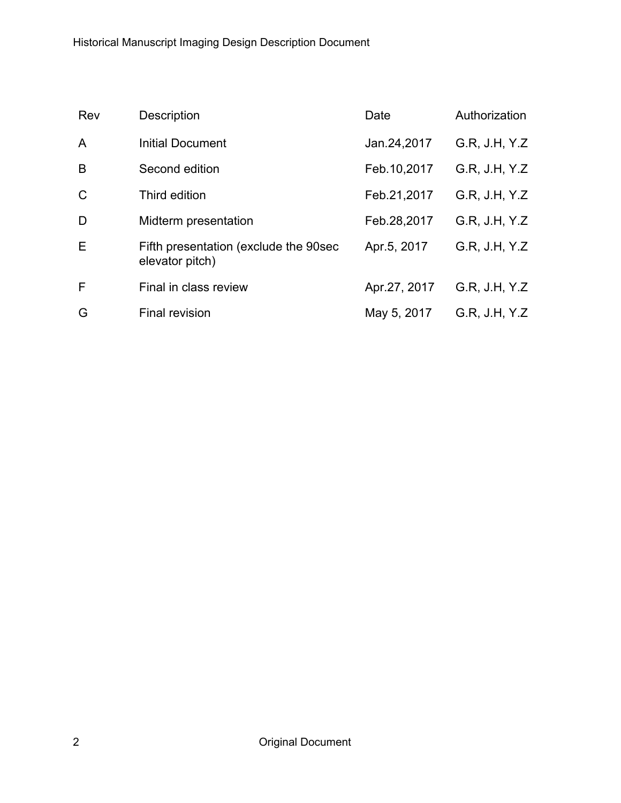| Rev          | Description                                              | Date         | Authorization |
|--------------|----------------------------------------------------------|--------------|---------------|
| $\mathsf{A}$ | Initial Document                                         | Jan.24,2017  | G.R. J.H. Y.Z |
| B            | Second edition                                           | Feb.10,2017  | G.R. J.H. Y.Z |
| $\mathsf{C}$ | Third edition                                            | Feb.21,2017  | G.R. J.H. Y.Z |
| D            | Midterm presentation                                     | Feb.28,2017  | G.R. J.H. Y.Z |
| E            | Fifth presentation (exclude the 90sec<br>elevator pitch) | Apr.5, 2017  | G.R. J.H. Y.Z |
| F            | Final in class review                                    | Apr.27, 2017 | G.R. J.H. Y.Z |
| G            | <b>Final revision</b>                                    | May 5, 2017  | G.R. J.H. Y.Z |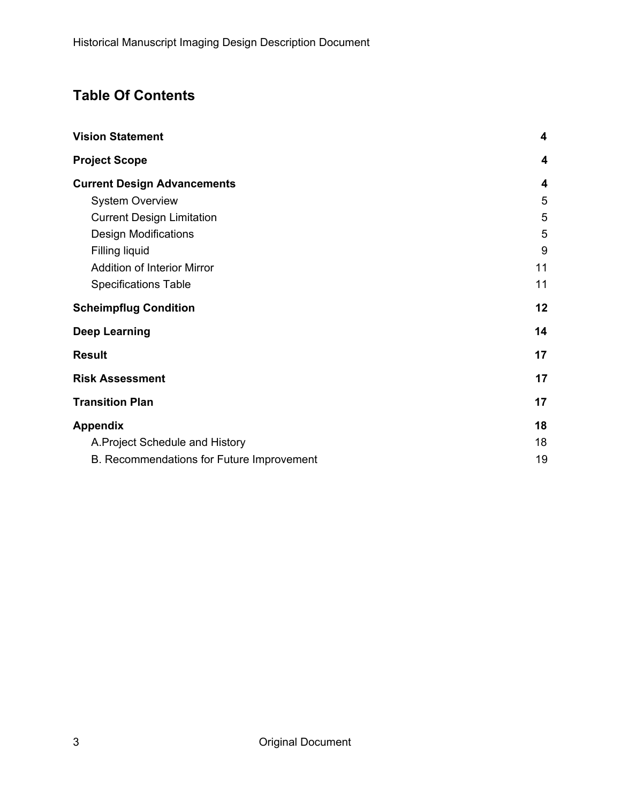### **Table Of Contents**

| <b>Vision Statement</b>                   | 4  |
|-------------------------------------------|----|
| <b>Project Scope</b>                      | 4  |
| <b>Current Design Advancements</b>        | 4  |
| <b>System Overview</b>                    | 5  |
| <b>Current Design Limitation</b>          | 5  |
| <b>Design Modifications</b>               | 5  |
| Filling liquid                            | 9  |
| <b>Addition of Interior Mirror</b>        | 11 |
| <b>Specifications Table</b>               | 11 |
| <b>Scheimpflug Condition</b>              | 12 |
| <b>Deep Learning</b>                      | 14 |
| <b>Result</b>                             | 17 |
| <b>Risk Assessment</b>                    | 17 |
| <b>Transition Plan</b>                    | 17 |
| <b>Appendix</b>                           | 18 |
| A. Project Schedule and History           | 18 |
| B. Recommendations for Future Improvement | 19 |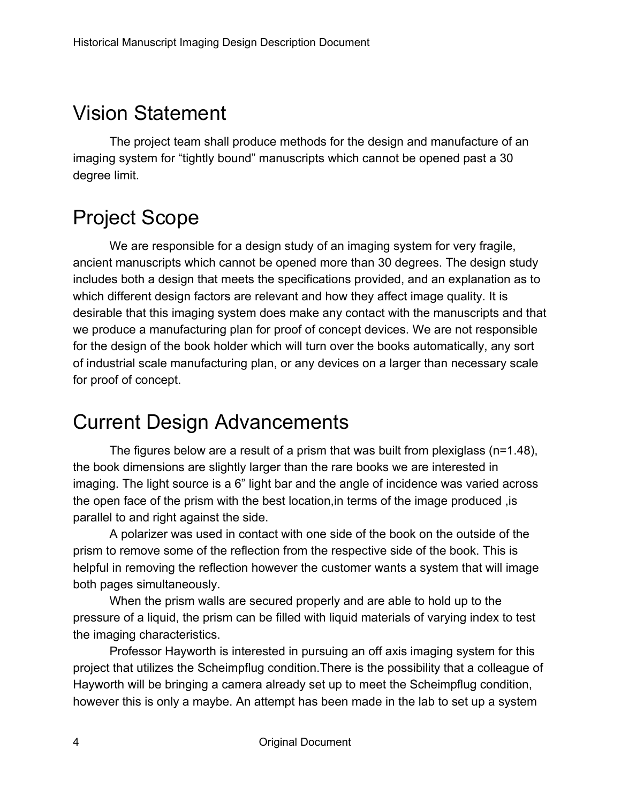## <span id="page-3-1"></span>Vision Statement

The project team shall produce methods for the design and manufacture of an imaging system for "tightly bound" manuscripts which cannot be opened past a 30 degree limit.

## <span id="page-3-2"></span>Project Scope

We are responsible for a design study of an imaging system for very fragile, ancient manuscripts which cannot be opened more than 30 degrees. The design study includes both a design that meets the specifications provided, and an explanation as to which different design factors are relevant and how they affect image quality. It is desirable that this imaging system does make any contact with the manuscripts and that we produce a manufacturing plan for proof of concept devices. We are not responsible for the design of the book holder which will turn over the books automatically, any sort of industrial scale manufacturing plan, or any devices on a larger than necessary scale for proof of concept.

## <span id="page-3-0"></span>Current Design Advancements

The figures below are a result of a prism that was built from plexiglass (n=1.48), the book dimensions are slightly larger than the rare books we are interested in imaging. The light source is a 6" light bar and the angle of incidence was varied across the open face of the prism with the best location,in terms of the image produced ,is parallel to and right against the side.

A polarizer was used in contact with one side of the book on the outside of the prism to remove some of the reflection from the respective side of the book. This is helpful in removing the reflection however the customer wants a system that will image both pages simultaneously.

When the prism walls are secured properly and are able to hold up to the pressure of a liquid, the prism can be filled with liquid materials of varying index to test the imaging characteristics.

Professor Hayworth is interested in pursuing an off axis imaging system for this project that utilizes the Scheimpflug condition.There is the possibility that a colleague of Hayworth will be bringing a camera already set up to meet the Scheimpflug condition, however this is only a maybe. An attempt has been made in the lab to set up a system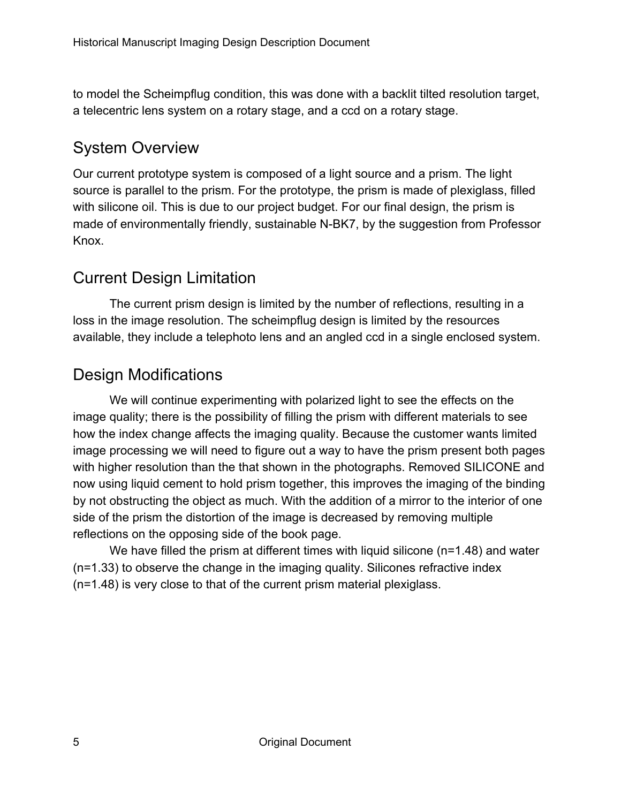to model the Scheimpflug condition, this was done with a backlit tilted resolution target, a telecentric lens system on a rotary stage, and a ccd on a rotary stage.

## <span id="page-4-2"></span>System Overview

Our current prototype system is composed of a light source and a prism. The light source is parallel to the prism. For the prototype, the prism is made of plexiglass, filled with silicone oil. This is due to our project budget. For our final design, the prism is made of environmentally friendly, sustainable N-BK7, by the suggestion from Professor Knox.

### <span id="page-4-0"></span>Current Design Limitation

The current prism design is limited by the number of reflections, resulting in a loss in the image resolution. The scheimpflug design is limited by the resources available, they include a telephoto lens and an angled ccd in a single enclosed system.

## <span id="page-4-1"></span>Design Modifications

We will continue experimenting with polarized light to see the effects on the image quality; there is the possibility of filling the prism with different materials to see how the index change affects the imaging quality. Because the customer wants limited image processing we will need to figure out a way to have the prism present both pages with higher resolution than the that shown in the photographs. Removed SILICONE and now using liquid cement to hold prism together, this improves the imaging of the binding by not obstructing the object as much. With the addition of a mirror to the interior of one side of the prism the distortion of the image is decreased by removing multiple reflections on the opposing side of the book page.

We have filled the prism at different times with liquid silicone (n=1.48) and water (n=1.33) to observe the change in the imaging quality. Silicones refractive index (n=1.48) is very close to that of the current prism material plexiglass.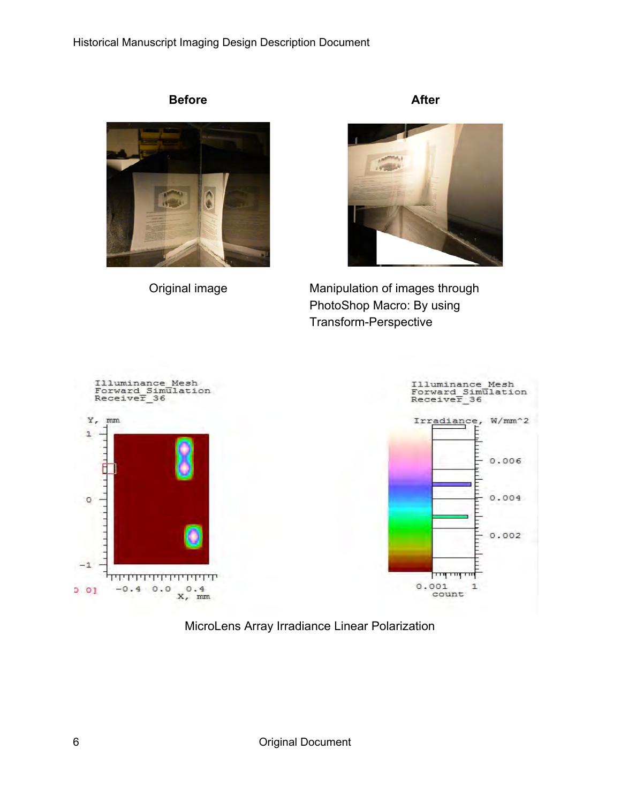

**Before After**



Original image Manipulation of images through PhotoShop Macro: By using Transform-Perspective



#### MicroLens Array Irradiance Linear Polarization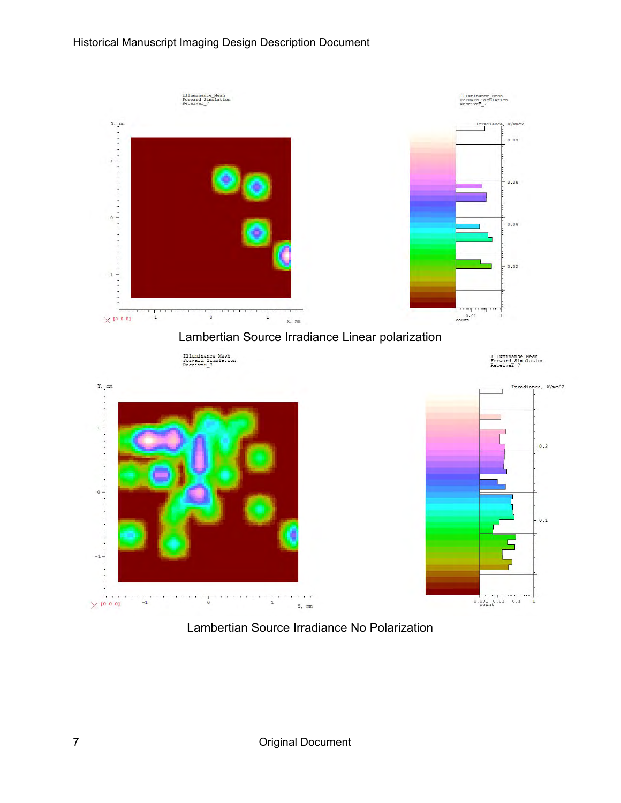

Lambertian Source Irradiance No Polarization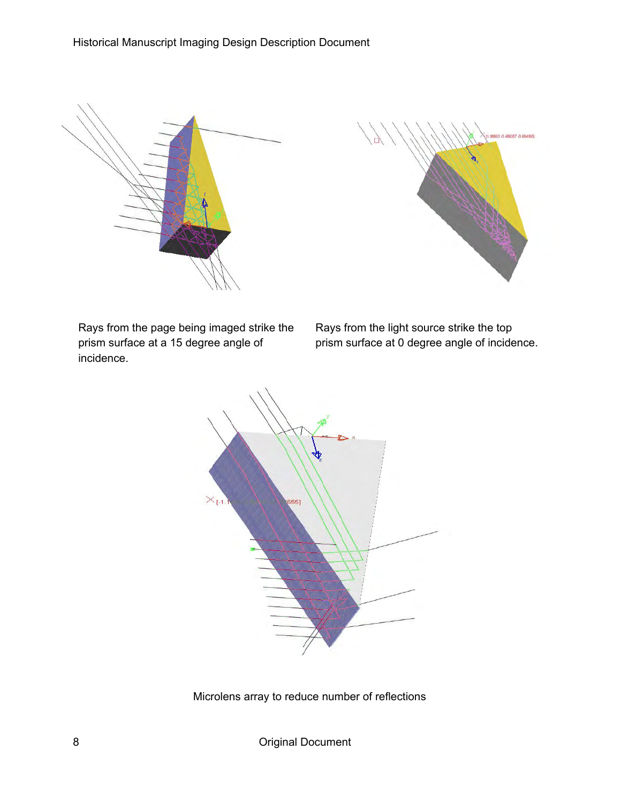



Rays from the page being imaged strike the prism surface at a 15 degree angle of incidence.

Rays from the light source strike the top prism surface at 0 degree angle of incidence.



Microlens array to reduce number of reflections

8 Original Document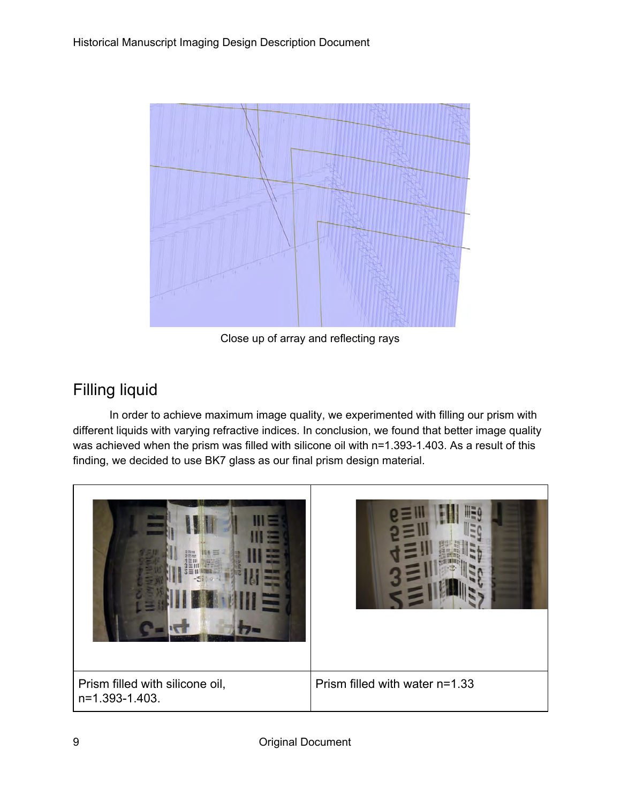

Close up of array and reflecting rays

## <span id="page-8-0"></span>Filling liquid

In order to achieve maximum image quality, we experimented with filling our prism with different liquids with varying refractive indices. In conclusion, we found that better image quality was achieved when the prism was filled with silicone oil with n=1.393-1.403. As a result of this finding, we decided to use BK7 glass as our final prism design material.

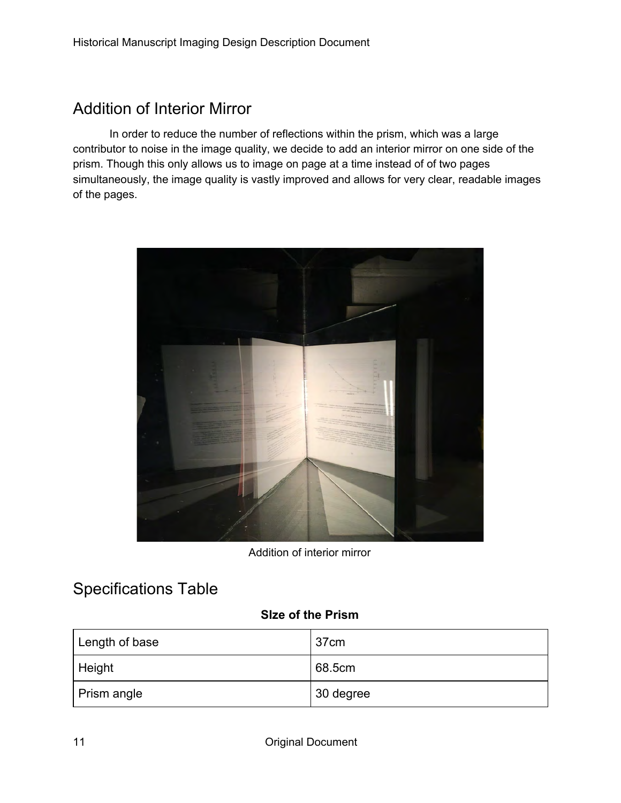### <span id="page-10-0"></span>Addition of Interior Mirror

In order to reduce the number of reflections within the prism, which was a large contributor to noise in the image quality, we decide to add an interior mirror on one side of the prism. Though this only allows us to image on page at a time instead of of two pages simultaneously, the image quality is vastly improved and allows for very clear, readable images of the pages.



Addition of interior mirror

### <span id="page-10-1"></span>Specifications Table

#### **SIze of the Prism**

| Length of base | 37cm      |
|----------------|-----------|
| l Height       | 68.5cm    |
| Prism angle    | 30 degree |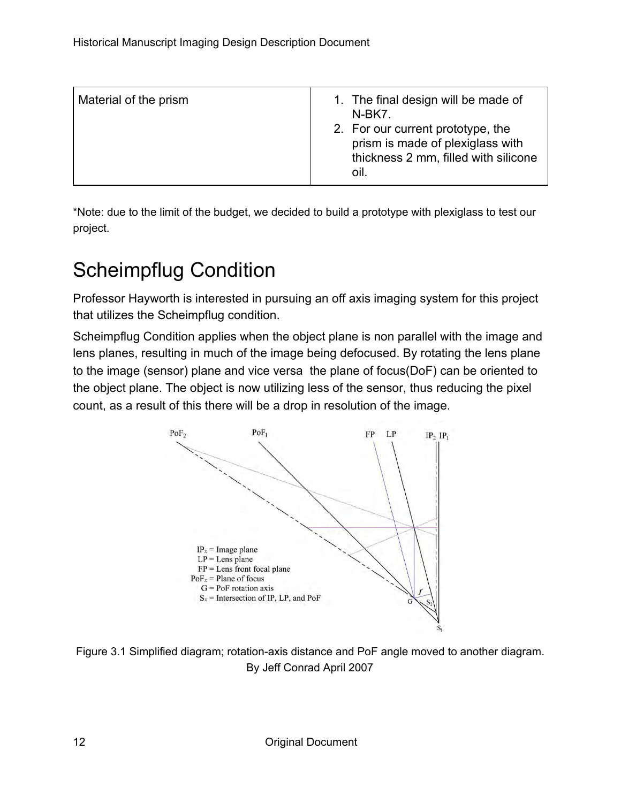| Material of the prism | 1. The final design will be made of<br>N-BK7.<br>2. For our current prototype, the<br>prism is made of plexiglass with<br>thickness 2 mm, filled with silicone<br>oil. |
|-----------------------|------------------------------------------------------------------------------------------------------------------------------------------------------------------------|
|-----------------------|------------------------------------------------------------------------------------------------------------------------------------------------------------------------|

\*Note: due to the limit of the budget, we decided to build a prototype with plexiglass to test our project.

# <span id="page-11-0"></span>Scheimpflug Condition

Professor Hayworth is interested in pursuing an off axis imaging system for this project that utilizes the Scheimpflug condition.

Scheimpflug Condition applies when the object plane is non parallel with the image and lens planes, resulting in much of the image being defocused. By rotating the lens plane to the image (sensor) plane and vice versa the plane of focus(DoF) can be oriented to the object plane. The object is now utilizing less of the sensor, thus reducing the pixel count, as a result of this there will be a drop in resolution of the image.



Figure 3.1 Simplified diagram; rotation-axis distance and PoF angle moved to another diagram. By Jeff Conrad April 2007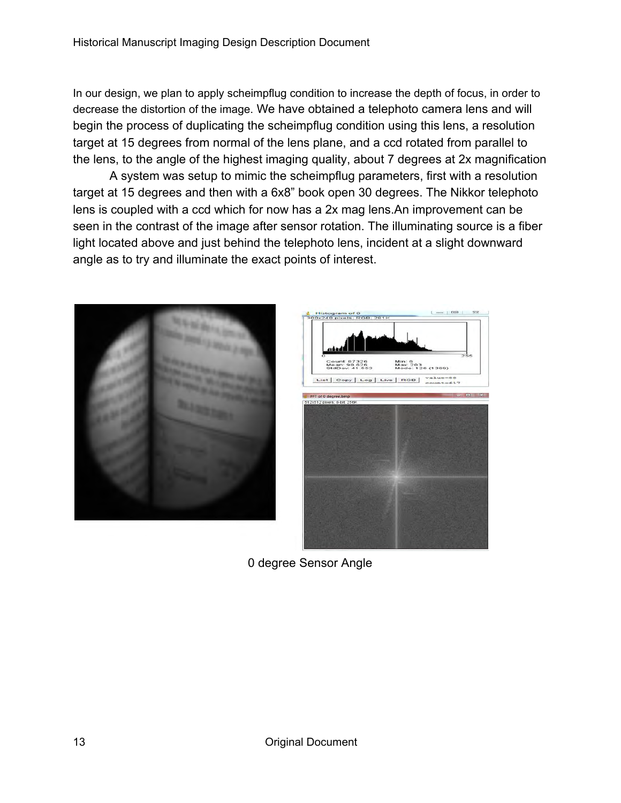In our design, we plan to apply scheimpflug condition to increase the depth of focus, in order to decrease the distortion of the image. We have obtained a telephoto camera lens and will begin the process of duplicating the scheimpflug condition using this lens, a resolution target at 15 degrees from normal of the lens plane, and a ccd rotated from parallel to the lens, to the angle of the highest imaging quality, about 7 degrees at 2x magnification

A system was setup to mimic the scheimpflug parameters, first with a resolution target at 15 degrees and then with a 6x8" book open 30 degrees. The Nikkor telephoto lens is coupled with a ccd which for now has a 2x mag lens.An improvement can be seen in the contrast of the image after sensor rotation. The illuminating source is a fiber light located above and just behind the telephoto lens, incident at a slight downward angle as to try and illuminate the exact points of interest.





0 degree Sensor Angle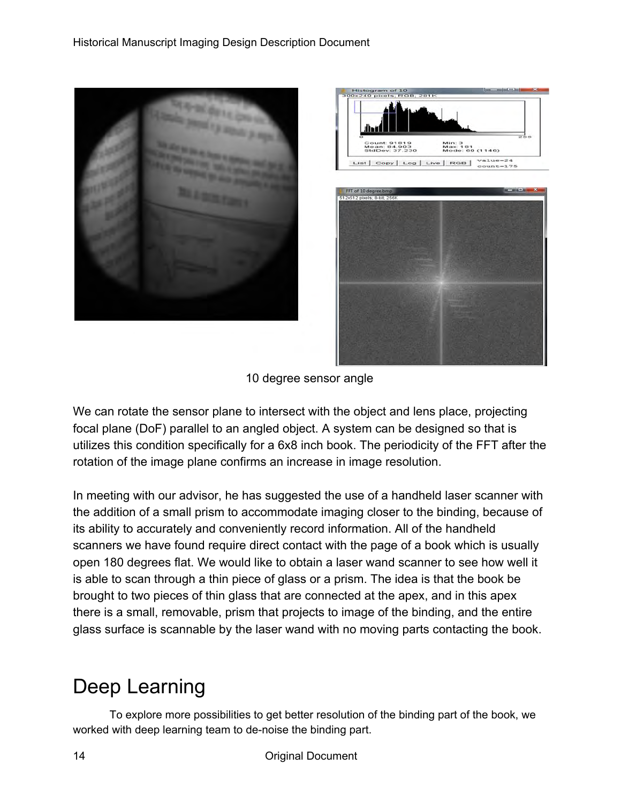

10 degree sensor angle

We can rotate the sensor plane to intersect with the object and lens place, projecting focal plane (DoF) parallel to an angled object. A system can be designed so that is utilizes this condition specifically for a 6x8 inch book. The periodicity of the FFT after the rotation of the image plane confirms an increase in image resolution.

In meeting with our advisor, he has suggested the use of a handheld laser scanner with the addition of a small prism to accommodate imaging closer to the binding, because of its ability to accurately and conveniently record information. All of the handheld scanners we have found require direct contact with the page of a book which is usually open 180 degrees flat. We would like to obtain a laser wand scanner to see how well it is able to scan through a thin piece of glass or a prism. The idea is that the book be brought to two pieces of thin glass that are connected at the apex, and in this apex there is a small, removable, prism that projects to image of the binding, and the entire glass surface is scannable by the laser wand with no moving parts contacting the book.

## <span id="page-13-0"></span>Deep Learning

To explore more possibilities to get better resolution of the binding part of the book, we worked with deep learning team to de-noise the binding part.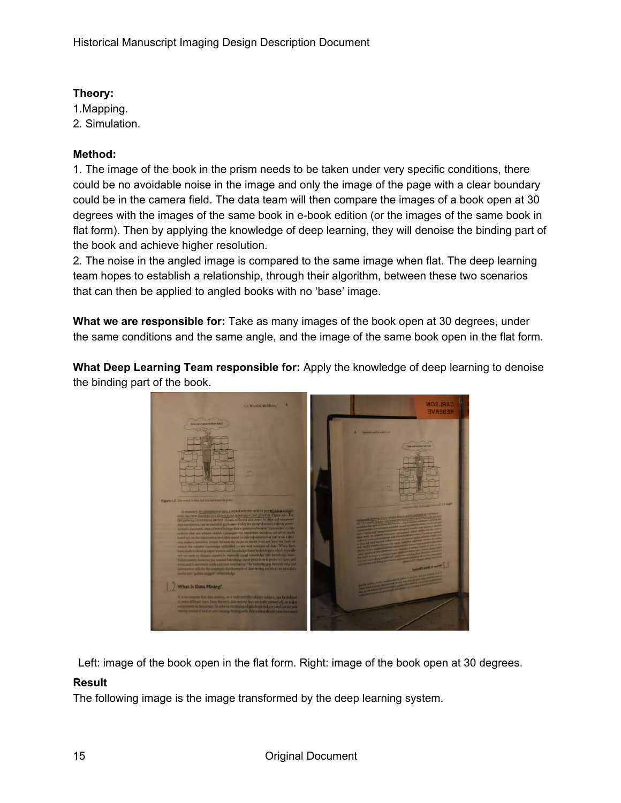#### **Theory:**

1.Mapping. 2. Simulation.

#### **Method:**

1. The image of the book in the prism needs to be taken under very specific conditions, there could be no avoidable noise in the image and only the image of the page with a clear boundary could be in the camera field. The data team will then compare the images of a book open at 30 degrees with the images of the same book in e-book edition (or the images of the same book in flat form). Then by applying the knowledge of deep learning, they will denoise the binding part of the book and achieve higher resolution.

2. The noise in the angled image is compared to the same image when flat. The deep learning team hopes to establish a relationship, through their algorithm, between these two scenarios that can then be applied to angled books with no 'base' image.

**What we are responsible for:** Take as many images of the book open at 30 degrees, under the same conditions and the same angle, and the image of the same book open in the flat form.

**What Deep Learning Team responsible for:** Apply the knowledge of deep learning to denoise the binding part of the book.



Left: image of the book open in the flat form. Right: image of the book open at 30 degrees.

#### **Result**

The following image is the image transformed by the deep learning system.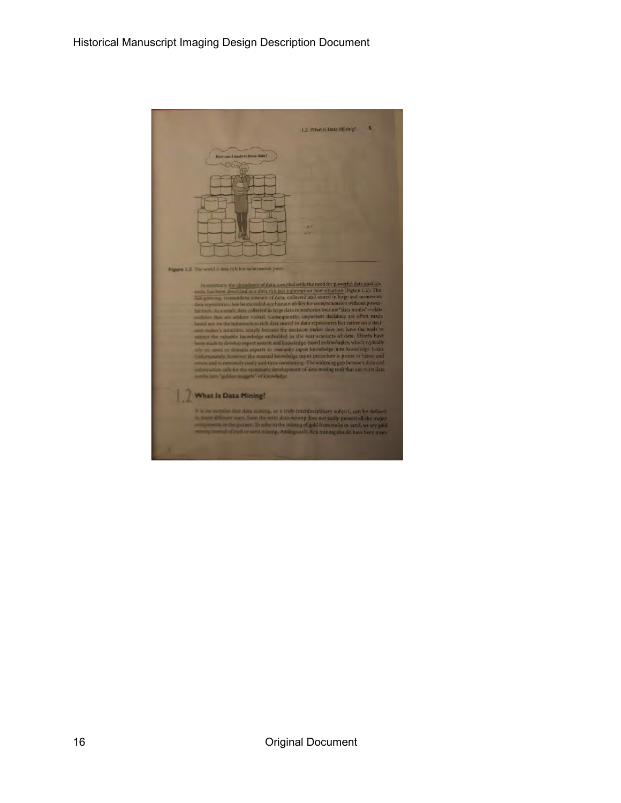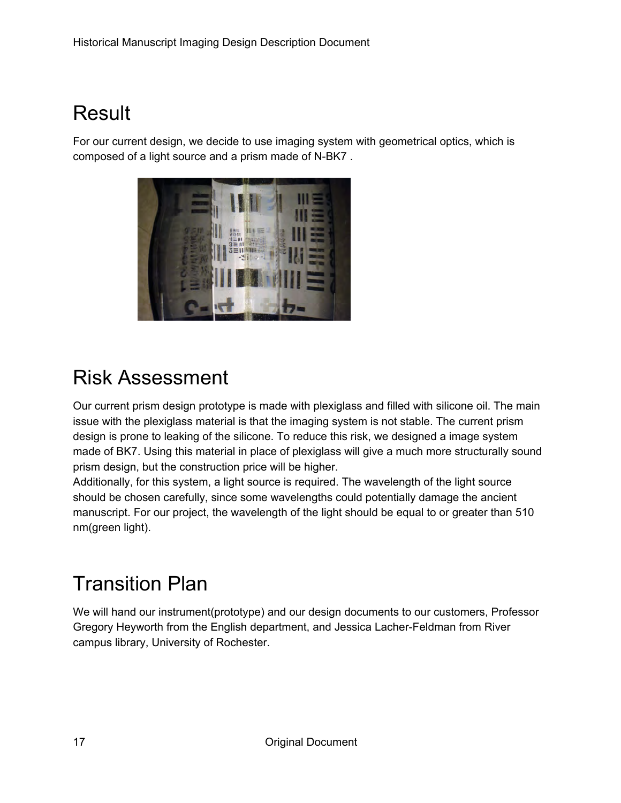## <span id="page-16-0"></span>Result

For our current design, we decide to use imaging system with geometrical optics, which is composed of a light source and a prism made of N-BK7 .



# <span id="page-16-2"></span>Risk Assessment

Our current prism design prototype is made with plexiglass and filled with silicone oil. The main issue with the plexiglass material is that the imaging system is not stable. The current prism design is prone to leaking of the silicone. To reduce this risk, we designed a image system made of BK7. Using this material in place of plexiglass will give a much more structurally sound prism design, but the construction price will be higher.

Additionally, for this system, a light source is required. The wavelength of the light source should be chosen carefully, since some wavelengths could potentially damage the ancient manuscript. For our project, the wavelength of the light should be equal to or greater than 510 nm(green light).

# <span id="page-16-1"></span>Transition Plan

We will hand our instrument(prototype) and our design documents to our customers, Professor Gregory Heyworth from the English department, and Jessica Lacher-Feldman from River campus library, University of Rochester.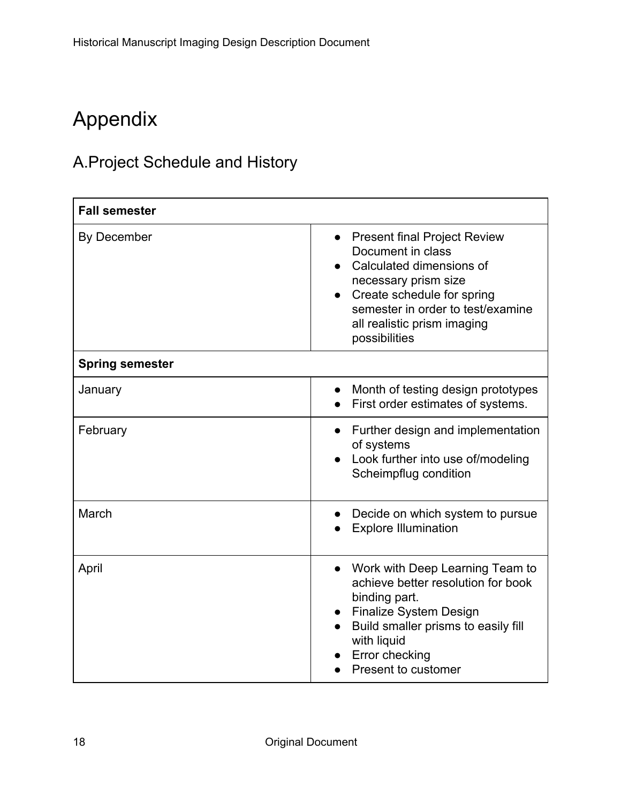# <span id="page-17-0"></span>Appendix

## <span id="page-17-1"></span>A.Project Schedule and History

| <b>Fall semester</b>   |                                                                                                                                                                                                                                                           |  |  |  |
|------------------------|-----------------------------------------------------------------------------------------------------------------------------------------------------------------------------------------------------------------------------------------------------------|--|--|--|
| By December            | <b>Present final Project Review</b><br>$\bullet$<br>Document in class<br>Calculated dimensions of<br>$\bullet$<br>necessary prism size<br>Create schedule for spring<br>semester in order to test/examine<br>all realistic prism imaging<br>possibilities |  |  |  |
| <b>Spring semester</b> |                                                                                                                                                                                                                                                           |  |  |  |
| January                | Month of testing design prototypes<br>$\bullet$<br>First order estimates of systems.                                                                                                                                                                      |  |  |  |
| February               | Further design and implementation<br>$\bullet$<br>of systems<br>Look further into use of/modeling<br>Scheimpflug condition                                                                                                                                |  |  |  |
| March                  | Decide on which system to pursue<br><b>Explore Illumination</b>                                                                                                                                                                                           |  |  |  |
| April                  | Work with Deep Learning Team to<br>achieve better resolution for book<br>binding part.<br><b>Finalize System Design</b><br>$\bullet$<br>Build smaller prisms to easily fill<br>with liquid<br>Error checking<br>Present to customer                       |  |  |  |